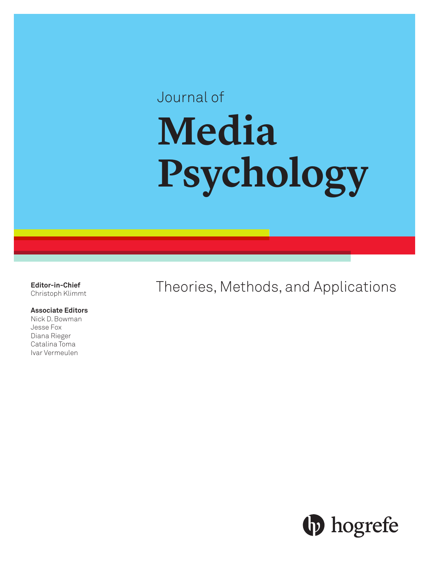# Journal of **Media Psychology**

**Editor-in-Chief** Christoph Klimmt

#### **Associate Editors**

Nick D. Bowman Jesse Fox Diana Rieger Catalina Toma Ivar Vermeulen

Theories, Methods, and Applications

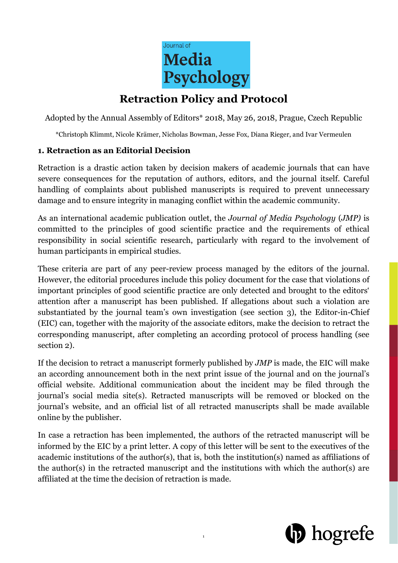

## **Retraction Policy and Protocol**

Adopted by the Annual Assembly of Editors\* 2018, May 26, 2018, Prague, Czech Republic

\*Christoph Klimmt, Nicole Krämer, Nicholas Bowman, Jesse Fox, Diana Rieger, and Ivar Vermeulen

#### **1. Retraction as an Editorial Decision**

Retraction is a drastic action taken by decision makers of academic journals that can have severe consequences for the reputation of authors, editors, and the journal itself. Careful handling of complaints about published manuscripts is required to prevent unnecessary damage and to ensure integrity in managing conflict within the academic community.

As an international academic publication outlet, the *Journal of Media Psychology* (*JMP)* is committed to the principles of good scientific practice and the requirements of ethical responsibility in social scientific research, particularly with regard to the involvement of human participants in empirical studies.

These criteria are part of any peer-review process managed by the editors of the journal. However, the editorial procedures include this policy document for the case that violations of important principles of good scientific practice are only detected and brought to the editors' attention after a manuscript has been published. If allegations about such a violation are substantiated by the journal team's own investigation (see section 3), the Editor-in-Chief (EIC) can, together with the majority of the associate editors, make the decision to retract the corresponding manuscript, after completing an according protocol of process handling (see section 2).

If the decision to retract a manuscript formerly published by *JMP* is made, the EIC will make an according announcement both in the next print issue of the journal and on the journal's official website. Additional communication about the incident may be filed through the journal's social media site(s). Retracted manuscripts will be removed or blocked on the journal's website, and an official list of all retracted manuscripts shall be made available online by the publisher.

In case a retraction has been implemented, the authors of the retracted manuscript will be informed by the EIC by a print letter. A copy of this letter will be sent to the executives of the academic institutions of the author(s), that is, both the institution(s) named as affiliations of the author(s) in the retracted manuscript and the institutions with which the author(s) are affiliated at the time the decision of retraction is made.

1

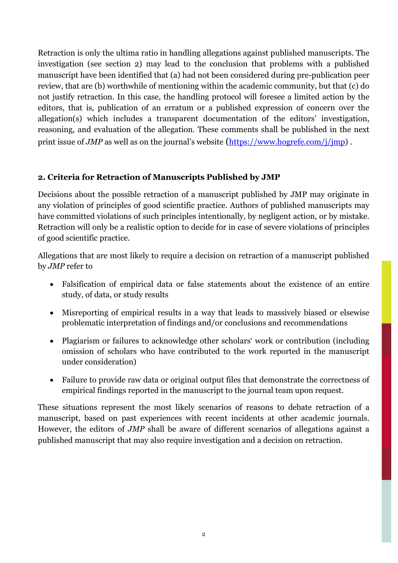Retraction is only the ultima ratio in handling allegations against published manuscripts. The investigation (see section 2) may lead to the conclusion that problems with a published manuscript have been identified that (a) had not been considered during pre-publication peer review, that are (b) worthwhile of mentioning within the academic community, but that (c) do not justify retraction. In this case, the handling protocol will foresee a limited action by the editors, that is, publication of an erratum or a published expression of concern over the allegation(s) which includes a transparent documentation of the editors' investigation, reasoning, and evaluation of the allegation. These comments shall be published in the next print issue of *JMP* as well as on the journal's website [\(https://www.hogrefe.com/j/jmp\)](https://www.hogrefe.com/j/jmp).

### **2. Criteria for Retraction of Manuscripts Published by JMP**

Decisions about the possible retraction of a manuscript published by JMP may originate in any violation of principles of good scientific practice. Authors of published manuscripts may have committed violations of such principles intentionally, by negligent action, or by mistake. Retraction will only be a realistic option to decide for in case of severe violations of principles of good scientific practice.

Allegations that are most likely to require a decision on retraction of a manuscript published by *JMP* refer to

- Falsification of empirical data or false statements about the existence of an entire study, of data, or study results
- Misreporting of empirical results in a way that leads to massively biased or elsewise problematic interpretation of findings and/or conclusions and recommendations
- Plagiarism or failures to acknowledge other scholars' work or contribution (including omission of scholars who have contributed to the work reported in the manuscript under consideration)
- Failure to provide raw data or original output files that demonstrate the correctness of empirical findings reported in the manuscript to the journal team upon request.

These situations represent the most likely scenarios of reasons to debate retraction of a manuscript, based on past experiences with recent incidents at other academic journals. However, the editors of *JMP* shall be aware of different scenarios of allegations against a published manuscript that may also require investigation and a decision on retraction.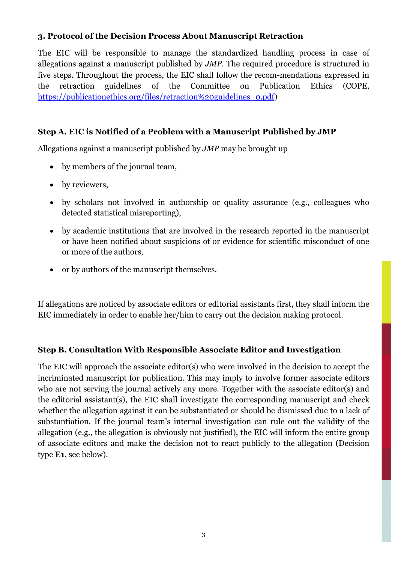#### **3. Protocol of the Decision Process About Manuscript Retraction**

The EIC will be responsible to manage the standardized handling process in case of allegations against a manuscript published by *JMP*. The required procedure is structured in five steps. Throughout the process, the EIC shall follow the recom-mendations expressed in the retraction guidelines of the Committee on Publication Ethics (COPE, [https://publicationethics.org/files/retraction%20guidelines\\_0.pdf\)](https://publicationethics.org/files/retraction%20guidelines_0.pdf)

#### **Step A. EIC is Notified of a Problem with a Manuscript Published by JMP**

Allegations against a manuscript published by *JMP* may be brought up

- by members of the journal team,
- by reviewers,
- by scholars not involved in authorship or quality assurance (e.g., colleagues who detected statistical misreporting),
- by academic institutions that are involved in the research reported in the manuscript or have been notified about suspicions of or evidence for scientific misconduct of one or more of the authors,
- or by authors of the manuscript themselves.

If allegations are noticed by associate editors or editorial assistants first, they shall inform the EIC immediately in order to enable her/him to carry out the decision making protocol.

#### **Step B. Consultation With Responsible Associate Editor and Investigation**

The EIC will approach the associate editor(s) who were involved in the decision to accept the incriminated manuscript for publication. This may imply to involve former associate editors who are not serving the journal actively any more. Together with the associate editor(s) and the editorial assistant(s), the EIC shall investigate the corresponding manuscript and check whether the allegation against it can be substantiated or should be dismissed due to a lack of substantiation. If the journal team's internal investigation can rule out the validity of the allegation (e.g., the allegation is obviously not justified), the EIC will inform the entire group of associate editors and make the decision not to react publicly to the allegation (Decision type **E1**, see below).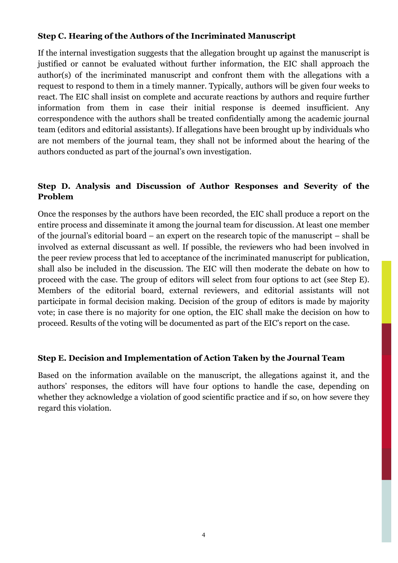#### **Step C. Hearing of the Authors of the Incriminated Manuscript**

If the internal investigation suggests that the allegation brought up against the manuscript is justified or cannot be evaluated without further information, the EIC shall approach the author(s) of the incriminated manuscript and confront them with the allegations with a request to respond to them in a timely manner. Typically, authors will be given four weeks to react. The EIC shall insist on complete and accurate reactions by authors and require further information from them in case their initial response is deemed insufficient. Any correspondence with the authors shall be treated confidentially among the academic journal team (editors and editorial assistants). If allegations have been brought up by individuals who are not members of the journal team, they shall not be informed about the hearing of the authors conducted as part of the journal's own investigation.

#### **Step D. Analysis and Discussion of Author Responses and Severity of the Problem**

Once the responses by the authors have been recorded, the EIC shall produce a report on the entire process and disseminate it among the journal team for discussion. At least one member of the journal's editorial board – an expert on the research topic of the manuscript – shall be involved as external discussant as well. If possible, the reviewers who had been involved in the peer review process that led to acceptance of the incriminated manuscript for publication, shall also be included in the discussion. The EIC will then moderate the debate on how to proceed with the case. The group of editors will select from four options to act (see Step E). Members of the editorial board, external reviewers, and editorial assistants will not participate in formal decision making. Decision of the group of editors is made by majority vote; in case there is no majority for one option, the EIC shall make the decision on how to proceed. Results of the voting will be documented as part of the EIC's report on the case.

#### **Step E. Decision and Implementation of Action Taken by the Journal Team**

Based on the information available on the manuscript, the allegations against it, and the authors' responses, the editors will have four options to handle the case, depending on whether they acknowledge a violation of good scientific practice and if so, on how severe they regard this violation.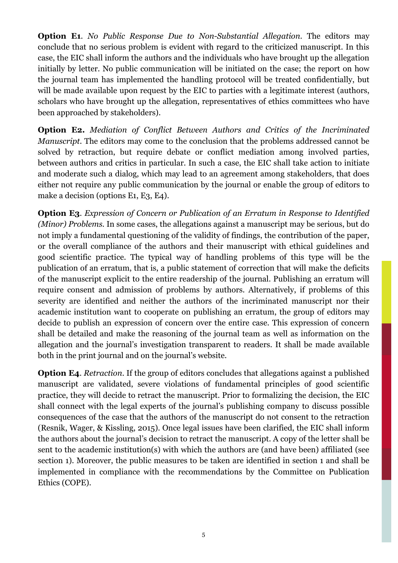**Option E1**. *No Public Response Due to Non-Substantial Allegation*. The editors may conclude that no serious problem is evident with regard to the criticized manuscript. In this case, the EIC shall inform the authors and the individuals who have brought up the allegation initially by letter. No public communication will be initiated on the case; the report on how the journal team has implemented the handling protocol will be treated confidentially, but will be made available upon request by the EIC to parties with a legitimate interest (authors, scholars who have brought up the allegation, representatives of ethics committees who have been approached by stakeholders).

**Option E2.** *Mediation of Conflict Between Authors and Critics of the Incriminated Manuscript.* The editors may come to the conclusion that the problems addressed cannot be solved by retraction, but require debate or conflict mediation among involved parties, between authors and critics in particular. In such a case, the EIC shall take action to initiate and moderate such a dialog, which may lead to an agreement among stakeholders, that does either not require any public communication by the journal or enable the group of editors to make a decision (options E1, E3, E4).

**Option E3**. *Expression of Concern or Publication of an Erratum in Response to Identified (Minor) Problems.* In some cases, the allegations against a manuscript may be serious, but do not imply a fundamental questioning of the validity of findings, the contribution of the paper, or the overall compliance of the authors and their manuscript with ethical guidelines and good scientific practice. The typical way of handling problems of this type will be the publication of an erratum, that is, a public statement of correction that will make the deficits of the manuscript explicit to the entire readership of the journal. Publishing an erratum will require consent and admission of problems by authors. Alternatively, if problems of this severity are identified and neither the authors of the incriminated manuscript nor their academic institution want to cooperate on publishing an erratum, the group of editors may decide to publish an expression of concern over the entire case. This expression of concern shall be detailed and make the reasoning of the journal team as well as information on the allegation and the journal's investigation transparent to readers. It shall be made available both in the print journal and on the journal's website.

**Option E4**. *Retraction.* If the group of editors concludes that allegations against a published manuscript are validated, severe violations of fundamental principles of good scientific practice, they will decide to retract the manuscript. Prior to formalizing the decision, the EIC shall connect with the legal experts of the journal's publishing company to discuss possible consequences of the case that the authors of the manuscript do not consent to the retraction (Resnik, Wager, & Kissling, 2015). Once legal issues have been clarified, the EIC shall inform the authors about the journal's decision to retract the manuscript. A copy of the letter shall be sent to the academic institution(s) with which the authors are (and have been) affiliated (see section 1). Moreover, the public measures to be taken are identified in section 1 and shall be implemented in compliance with the recommendations by the Committee on Publication Ethics (COPE).